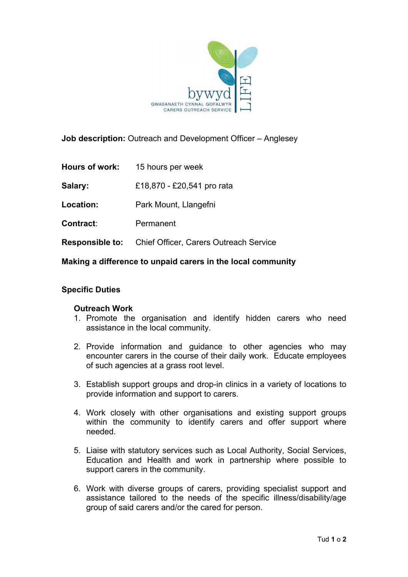

**Job description:** Outreach and Development Officer – Anglesey

**Hours of work:** 15 hours per week

**Salary:** £18,870 - £20,541 pro rata

**Location:** Park Mount, Llangefni

**Contract**: Permanent

**Responsible to:** Chief Officer, Carers Outreach Service

**Making a difference to unpaid carers in the local community**

## **Specific Duties**

## **Outreach Work**

- 1. Promote the organisation and identify hidden carers who need assistance in the local community.
- 2. Provide information and guidance to other agencies who may encounter carers in the course of their daily work. Educate employees of such agencies at a grass root level.
- 3. Establish support groups and drop-in clinics in a variety of locations to provide information and support to carers.
- 4. Work closely with other organisations and existing support groups within the community to identify carers and offer support where needed.
- 5. Liaise with statutory services such as Local Authority, Social Services, Education and Health and work in partnership where possible to support carers in the community.
- 6. Work with diverse groups of carers, providing specialist support and assistance tailored to the needs of the specific illness/disability/age group of said carers and/or the cared for person.